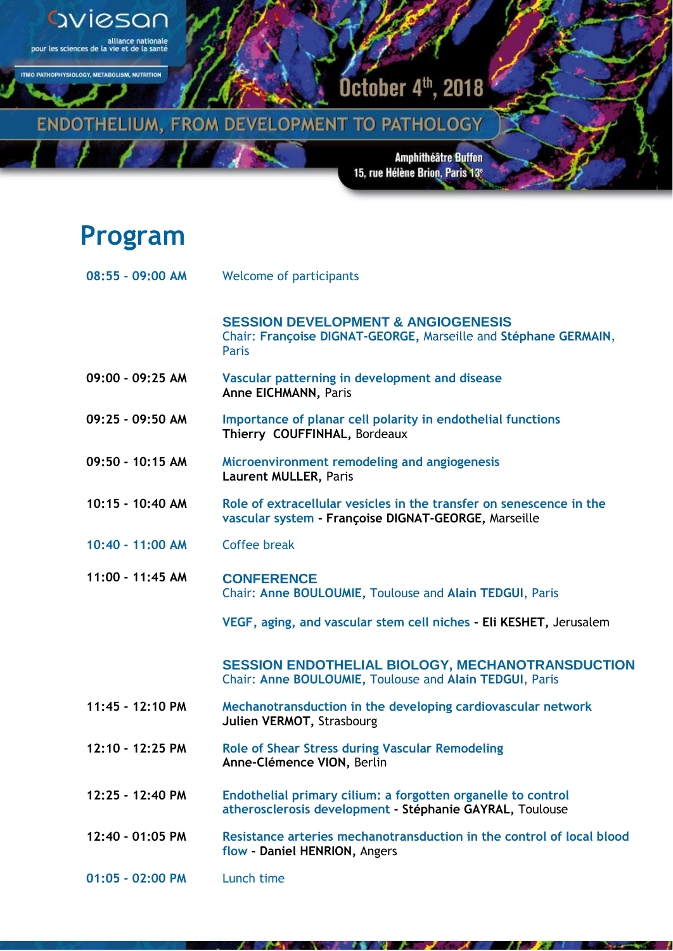

**METAROLISM NUTRITION** 

**ITMO PATHOL** 

October 4th, 2018<sup>1</sup>

ENDOTHELIUM, FROM DEVELOPMENT TO PATHOLOGY

Amphithéâtre Buffon<br>†15, rue Hélène Brion, Paris 13

## **Program**

| 08:55 - 09:00 AM | <b>Welcome of participants</b>                                                                                              |
|------------------|-----------------------------------------------------------------------------------------------------------------------------|
|                  | <b>SESSION DEVELOPMENT &amp; ANGIOGENESIS</b><br>Chair: Françoise DIGNAT-GEORGE, Marseille and Stéphane GERMAIN,<br>Paris   |
| 09:00 - 09:25 AM | Vascular patterning in development and disease<br><b>Anne EICHMANN, Paris</b>                                               |
| 09:25 - 09:50 AM | Importance of planar cell polarity in endothelial functions<br>Thierry COUFFINHAL, Bordeaux                                 |
| 09:50 - 10:15 AM | Microenvironment remodeling and angiogenesis<br>Laurent MULLER, Paris                                                       |
| 10:15 - 10:40 AM | Role of extracellular vesicles in the transfer on senescence in the<br>vascular system - Françoise DIGNAT-GEORGE, Marseille |
| 10:40 - 11:00 AM | <b>Coffee break</b>                                                                                                         |
| 11:00 - 11:45 AM | <b>CONFERENCE</b><br>Chair: Anne BOULOUMIE, Toulouse and Alain TEDGUI, Paris                                                |
|                  | VEGF, aging, and vascular stem cell niches - Eli KESHET, Jerusalem                                                          |
|                  | <b>SESSION ENDOTHELIAL BIOLOGY, MECHANOTRANSDUCTION</b><br>Chair: Anne BOULOUMIE, Toulouse and Alain TEDGUI, Paris          |
| 11:45 - 12:10 PM | Mechanotransduction in the developing cardiovascular network<br>Julien VERMOT, Strasbourg                                   |
| 12:10 - 12:25 PM | <b>Role of Shear Stress during Vascular Remodeling</b><br>Anne-Clémence VION, Berlin                                        |
| 12:25 - 12:40 PM | Endothelial primary cilium: a forgotten organelle to control<br>atherosclerosis development - Stéphanie GAYRAL, Toulouse    |
| 12:40 - 01:05 PM | Resistance arteries mechanotransduction in the control of local blood<br>flow - Daniel HENRION, Angers                      |
| 01:05 - 02:00 PM | Lunch time                                                                                                                  |